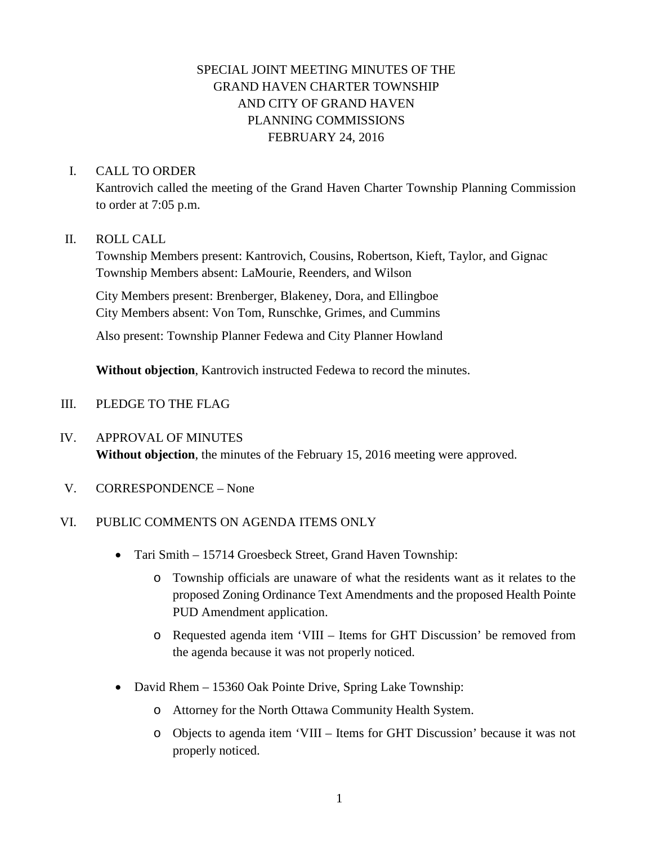# SPECIAL JOINT MEETING MINUTES OF THE GRAND HAVEN CHARTER TOWNSHIP AND CITY OF GRAND HAVEN PLANNING COMMISSIONS FEBRUARY 24, 2016

### I. CALL TO ORDER

Kantrovich called the meeting of the Grand Haven Charter Township Planning Commission to order at 7:05 p.m.

#### II. ROLL CALL

Township Members present: Kantrovich, Cousins, Robertson, Kieft, Taylor, and Gignac Township Members absent: LaMourie, Reenders, and Wilson

City Members present: Brenberger, Blakeney, Dora, and Ellingboe City Members absent: Von Tom, Runschke, Grimes, and Cummins

Also present: Township Planner Fedewa and City Planner Howland

**Without objection**, Kantrovich instructed Fedewa to record the minutes.

- III. PLEDGE TO THE FLAG
- IV. APPROVAL OF MINUTES **Without objection**, the minutes of the February 15, 2016 meeting were approved.
- V. CORRESPONDENCE None

### VI. PUBLIC COMMENTS ON AGENDA ITEMS ONLY

- Tari Smith 15714 Groesbeck Street, Grand Haven Township:
	- o Township officials are unaware of what the residents want as it relates to the proposed Zoning Ordinance Text Amendments and the proposed Health Pointe PUD Amendment application.
	- o Requested agenda item 'VIII Items for GHT Discussion' be removed from the agenda because it was not properly noticed.
- David Rhem 15360 Oak Pointe Drive, Spring Lake Township:
	- o Attorney for the North Ottawa Community Health System.
	- o Objects to agenda item 'VIII Items for GHT Discussion' because it was not properly noticed.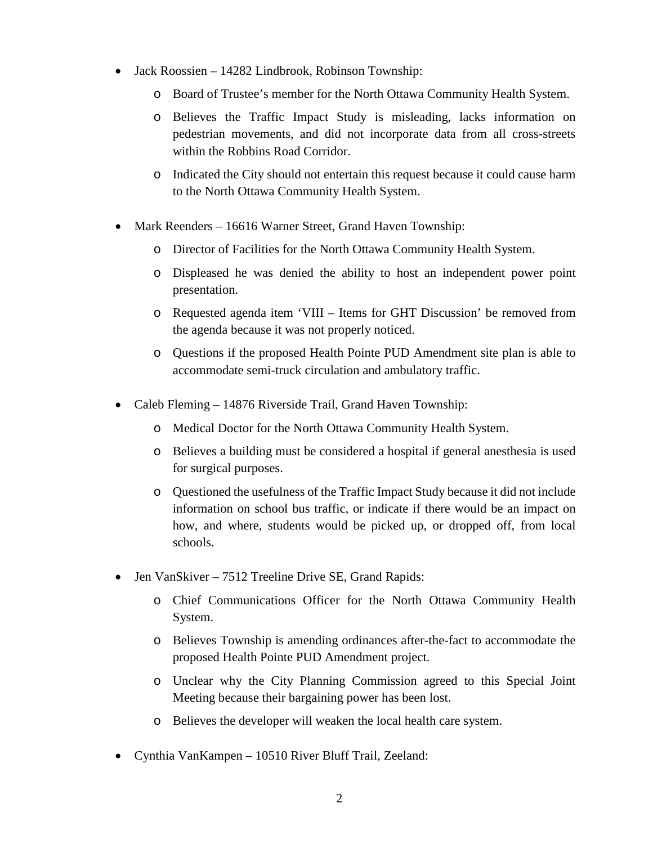- Jack Roossien 14282 Lindbrook, Robinson Township:
	- o Board of Trustee's member for the North Ottawa Community Health System.
	- o Believes the Traffic Impact Study is misleading, lacks information on pedestrian movements, and did not incorporate data from all cross-streets within the Robbins Road Corridor.
	- o Indicated the City should not entertain this request because it could cause harm to the North Ottawa Community Health System.
- Mark Reenders 16616 Warner Street, Grand Haven Township:
	- o Director of Facilities for the North Ottawa Community Health System.
	- o Displeased he was denied the ability to host an independent power point presentation.
	- o Requested agenda item 'VIII Items for GHT Discussion' be removed from the agenda because it was not properly noticed.
	- o Questions if the proposed Health Pointe PUD Amendment site plan is able to accommodate semi-truck circulation and ambulatory traffic.
- Caleb Fleming 14876 Riverside Trail, Grand Haven Township:
	- o Medical Doctor for the North Ottawa Community Health System.
	- o Believes a building must be considered a hospital if general anesthesia is used for surgical purposes.
	- o Questioned the usefulness of the Traffic Impact Study because it did not include information on school bus traffic, or indicate if there would be an impact on how, and where, students would be picked up, or dropped off, from local schools.
- Jen VanSkiver 7512 Treeline Drive SE, Grand Rapids:
	- o Chief Communications Officer for the North Ottawa Community Health System.
	- o Believes Township is amending ordinances after-the-fact to accommodate the proposed Health Pointe PUD Amendment project.
	- o Unclear why the City Planning Commission agreed to this Special Joint Meeting because their bargaining power has been lost.
	- o Believes the developer will weaken the local health care system.
- Cynthia VanKampen 10510 River Bluff Trail, Zeeland: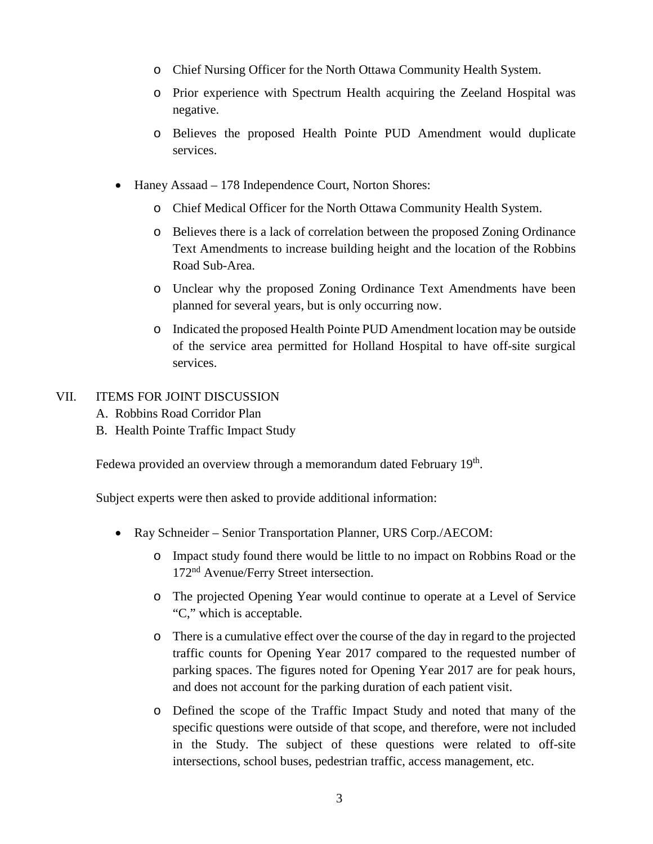- o Chief Nursing Officer for the North Ottawa Community Health System.
- o Prior experience with Spectrum Health acquiring the Zeeland Hospital was negative.
- o Believes the proposed Health Pointe PUD Amendment would duplicate services.
- Haney Assaad 178 Independence Court, Norton Shores:
	- o Chief Medical Officer for the North Ottawa Community Health System.
	- o Believes there is a lack of correlation between the proposed Zoning Ordinance Text Amendments to increase building height and the location of the Robbins Road Sub-Area.
	- o Unclear why the proposed Zoning Ordinance Text Amendments have been planned for several years, but is only occurring now.
	- o Indicated the proposed Health Pointe PUD Amendment location may be outside of the service area permitted for Holland Hospital to have off-site surgical services.

#### VII. ITEMS FOR JOINT DISCUSSION

- A. Robbins Road Corridor Plan
- B. Health Pointe Traffic Impact Study

Fedewa provided an overview through a memorandum dated February 19<sup>th</sup>.

Subject experts were then asked to provide additional information:

- Ray Schneider Senior Transportation Planner, URS Corp./AECOM:
	- o Impact study found there would be little to no impact on Robbins Road or the 172nd Avenue/Ferry Street intersection.
	- o The projected Opening Year would continue to operate at a Level of Service "C," which is acceptable.
	- o There is a cumulative effect over the course of the day in regard to the projected traffic counts for Opening Year 2017 compared to the requested number of parking spaces. The figures noted for Opening Year 2017 are for peak hours, and does not account for the parking duration of each patient visit.
	- o Defined the scope of the Traffic Impact Study and noted that many of the specific questions were outside of that scope, and therefore, were not included in the Study. The subject of these questions were related to off-site intersections, school buses, pedestrian traffic, access management, etc.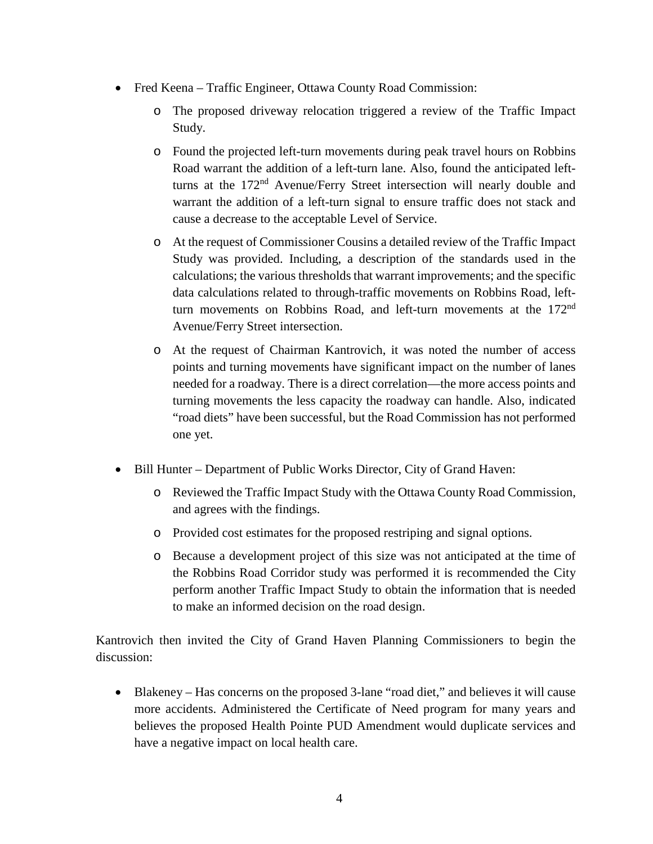- Fred Keena Traffic Engineer, Ottawa County Road Commission:
	- o The proposed driveway relocation triggered a review of the Traffic Impact Study.
	- o Found the projected left-turn movements during peak travel hours on Robbins Road warrant the addition of a left-turn lane. Also, found the anticipated leftturns at the 172nd Avenue/Ferry Street intersection will nearly double and warrant the addition of a left-turn signal to ensure traffic does not stack and cause a decrease to the acceptable Level of Service.
	- o At the request of Commissioner Cousins a detailed review of the Traffic Impact Study was provided. Including, a description of the standards used in the calculations; the various thresholds that warrant improvements; and the specific data calculations related to through-traffic movements on Robbins Road, leftturn movements on Robbins Road, and left-turn movements at the 172nd Avenue/Ferry Street intersection.
	- o At the request of Chairman Kantrovich, it was noted the number of access points and turning movements have significant impact on the number of lanes needed for a roadway. There is a direct correlation—the more access points and turning movements the less capacity the roadway can handle. Also, indicated "road diets" have been successful, but the Road Commission has not performed one yet.
- Bill Hunter Department of Public Works Director, City of Grand Haven:
	- o Reviewed the Traffic Impact Study with the Ottawa County Road Commission, and agrees with the findings.
	- o Provided cost estimates for the proposed restriping and signal options.
	- o Because a development project of this size was not anticipated at the time of the Robbins Road Corridor study was performed it is recommended the City perform another Traffic Impact Study to obtain the information that is needed to make an informed decision on the road design.

Kantrovich then invited the City of Grand Haven Planning Commissioners to begin the discussion:

• Blakeney – Has concerns on the proposed 3-lane "road diet," and believes it will cause more accidents. Administered the Certificate of Need program for many years and believes the proposed Health Pointe PUD Amendment would duplicate services and have a negative impact on local health care.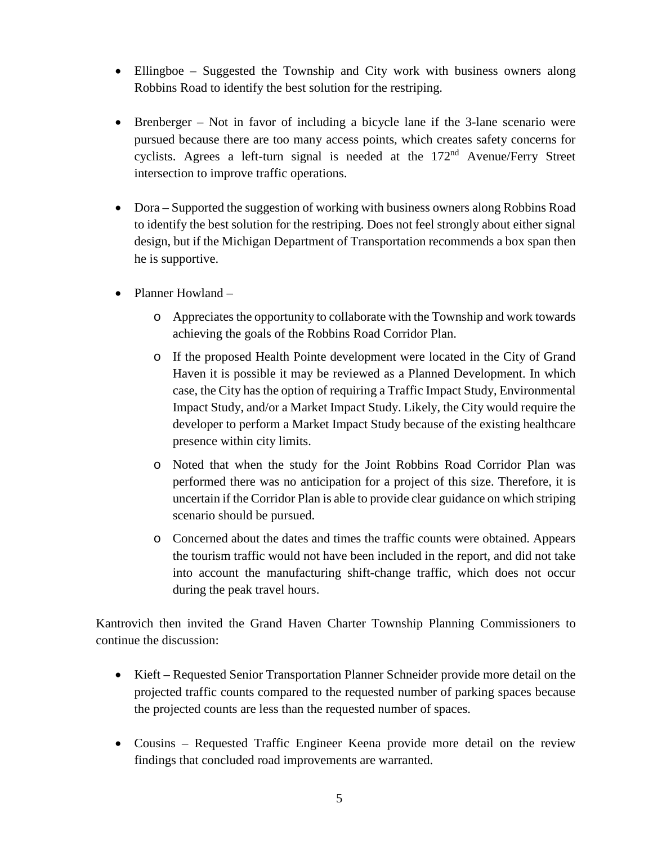- Ellingboe Suggested the Township and City work with business owners along Robbins Road to identify the best solution for the restriping.
- Brenberger Not in favor of including a bicycle lane if the 3-lane scenario were pursued because there are too many access points, which creates safety concerns for cyclists. Agrees a left-turn signal is needed at the 172nd Avenue/Ferry Street intersection to improve traffic operations.
- Dora Supported the suggestion of working with business owners along Robbins Road to identify the best solution for the restriping. Does not feel strongly about either signal design, but if the Michigan Department of Transportation recommends a box span then he is supportive.
- Planner Howland
	- o Appreciates the opportunity to collaborate with the Township and work towards achieving the goals of the Robbins Road Corridor Plan.
	- o If the proposed Health Pointe development were located in the City of Grand Haven it is possible it may be reviewed as a Planned Development. In which case, the City has the option of requiring a Traffic Impact Study, Environmental Impact Study, and/or a Market Impact Study. Likely, the City would require the developer to perform a Market Impact Study because of the existing healthcare presence within city limits.
	- o Noted that when the study for the Joint Robbins Road Corridor Plan was performed there was no anticipation for a project of this size. Therefore, it is uncertain if the Corridor Plan is able to provide clear guidance on which striping scenario should be pursued.
	- o Concerned about the dates and times the traffic counts were obtained. Appears the tourism traffic would not have been included in the report, and did not take into account the manufacturing shift-change traffic, which does not occur during the peak travel hours.

Kantrovich then invited the Grand Haven Charter Township Planning Commissioners to continue the discussion:

- Kieft Requested Senior Transportation Planner Schneider provide more detail on the projected traffic counts compared to the requested number of parking spaces because the projected counts are less than the requested number of spaces.
- Cousins Requested Traffic Engineer Keena provide more detail on the review findings that concluded road improvements are warranted.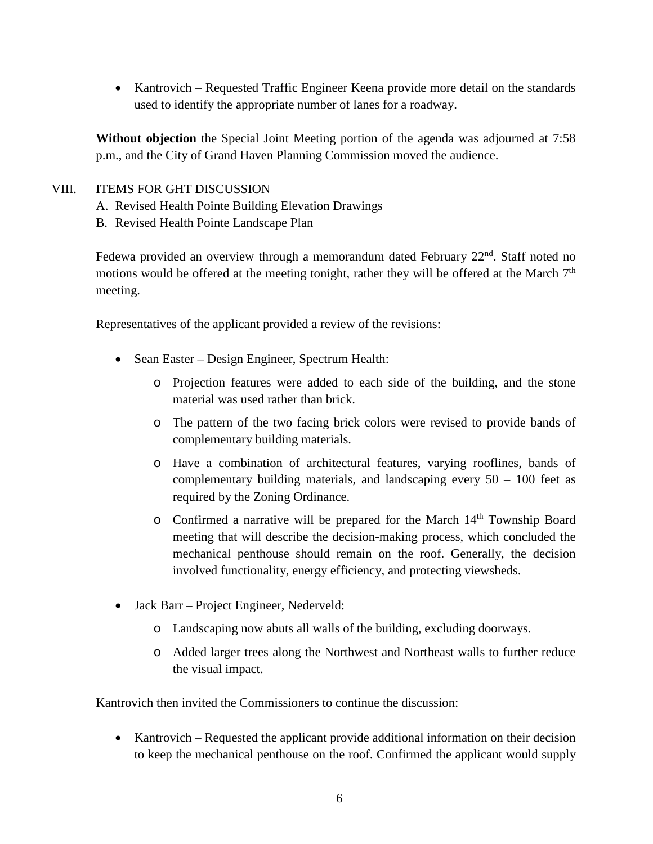• Kantrovich – Requested Traffic Engineer Keena provide more detail on the standards used to identify the appropriate number of lanes for a roadway.

**Without objection** the Special Joint Meeting portion of the agenda was adjourned at 7:58 p.m., and the City of Grand Haven Planning Commission moved the audience.

### VIII. ITEMS FOR GHT DISCUSSION

- A. Revised Health Pointe Building Elevation Drawings
- B. Revised Health Pointe Landscape Plan

Fedewa provided an overview through a memorandum dated February  $22<sup>nd</sup>$ . Staff noted no motions would be offered at the meeting tonight, rather they will be offered at the March  $7<sup>th</sup>$ meeting.

Representatives of the applicant provided a review of the revisions:

- Sean Easter Design Engineer, Spectrum Health:
	- o Projection features were added to each side of the building, and the stone material was used rather than brick.
	- o The pattern of the two facing brick colors were revised to provide bands of complementary building materials.
	- o Have a combination of architectural features, varying rooflines, bands of complementary building materials, and landscaping every  $50 - 100$  feet as required by the Zoning Ordinance.
	- $\circ$  Confirmed a narrative will be prepared for the March 14<sup>th</sup> Township Board meeting that will describe the decision-making process, which concluded the mechanical penthouse should remain on the roof. Generally, the decision involved functionality, energy efficiency, and protecting viewsheds.
- Jack Barr Project Engineer, Nederveld:
	- o Landscaping now abuts all walls of the building, excluding doorways.
	- o Added larger trees along the Northwest and Northeast walls to further reduce the visual impact.

Kantrovich then invited the Commissioners to continue the discussion:

• Kantrovich – Requested the applicant provide additional information on their decision to keep the mechanical penthouse on the roof. Confirmed the applicant would supply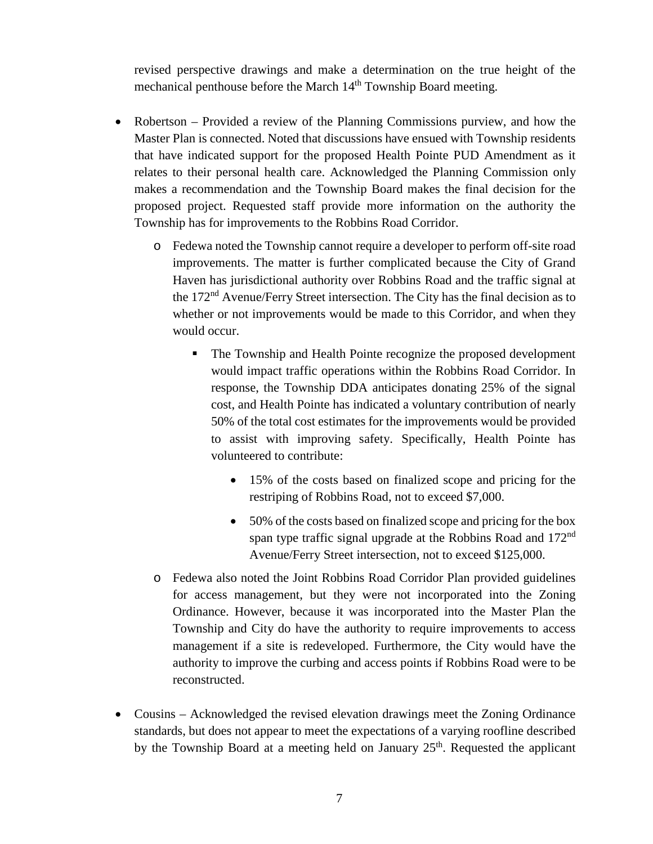revised perspective drawings and make a determination on the true height of the mechanical penthouse before the March  $14<sup>th</sup>$  Township Board meeting.

- Robertson Provided a review of the Planning Commissions purview, and how the Master Plan is connected. Noted that discussions have ensued with Township residents that have indicated support for the proposed Health Pointe PUD Amendment as it relates to their personal health care. Acknowledged the Planning Commission only makes a recommendation and the Township Board makes the final decision for the proposed project. Requested staff provide more information on the authority the Township has for improvements to the Robbins Road Corridor.
	- o Fedewa noted the Township cannot require a developer to perform off-site road improvements. The matter is further complicated because the City of Grand Haven has jurisdictional authority over Robbins Road and the traffic signal at the 172nd Avenue/Ferry Street intersection. The City has the final decision as to whether or not improvements would be made to this Corridor, and when they would occur.
		- The Township and Health Pointe recognize the proposed development would impact traffic operations within the Robbins Road Corridor. In response, the Township DDA anticipates donating 25% of the signal cost, and Health Pointe has indicated a voluntary contribution of nearly 50% of the total cost estimates for the improvements would be provided to assist with improving safety. Specifically, Health Pointe has volunteered to contribute:
			- 15% of the costs based on finalized scope and pricing for the restriping of Robbins Road, not to exceed \$7,000.
			- 50% of the costs based on finalized scope and pricing for the box span type traffic signal upgrade at the Robbins Road and 172<sup>nd</sup> Avenue/Ferry Street intersection, not to exceed \$125,000.
	- o Fedewa also noted the Joint Robbins Road Corridor Plan provided guidelines for access management, but they were not incorporated into the Zoning Ordinance. However, because it was incorporated into the Master Plan the Township and City do have the authority to require improvements to access management if a site is redeveloped. Furthermore, the City would have the authority to improve the curbing and access points if Robbins Road were to be reconstructed.
- Cousins Acknowledged the revised elevation drawings meet the Zoning Ordinance standards, but does not appear to meet the expectations of a varying roofline described by the Township Board at a meeting held on January  $25<sup>th</sup>$ . Requested the applicant